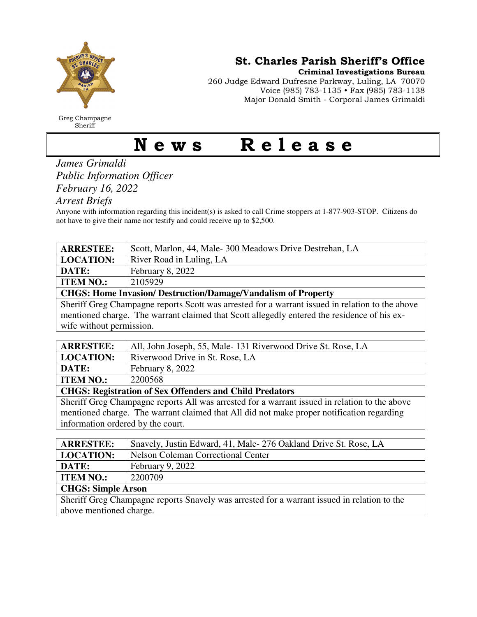

Greg Champagne Sheriff

St. Charles Parish Sheriff's Office

Criminal Investigations Bureau

260 Judge Edward Dufresne Parkway, Luling, LA 70070 Voice (985) 783-1135 • Fax (985) 783-1138 Major Donald Smith - Corporal James Grimaldi

## News Release

## *James Grimaldi Public Information Officer February 16, 2022*

*Arrest Briefs* 

Anyone with information regarding this incident(s) is asked to call Crime stoppers at 1-877-903-STOP. Citizens do not have to give their name nor testify and could receive up to \$2,500.

| <b>ARRESTEE:</b>                                                                                | Scott, Marlon, 44, Male-300 Meadows Drive Destrehan, LA |  |
|-------------------------------------------------------------------------------------------------|---------------------------------------------------------|--|
| <b>LOCATION:</b>                                                                                | River Road in Luling, LA                                |  |
| DATE:                                                                                           | February 8, 2022                                        |  |
| <b>ITEM NO.:</b>                                                                                | 2105929                                                 |  |
| <b>CHGS: Home Invasion/ Destruction/Damage/Vandalism of Property</b>                            |                                                         |  |
| Sheriff Greg Champagne reports Scott was arrested for a warrant issued in relation to the above |                                                         |  |
| mentioned charge. The warrant claimed that Scott allegedly entered the residence of his ex-     |                                                         |  |

wife without permission.

| <b>ARRESTEE:</b>                                               | All, John Joseph, 55, Male-131 Riverwood Drive St. Rose, LA |  |
|----------------------------------------------------------------|-------------------------------------------------------------|--|
| <b>LOCATION:</b>                                               | Riverwood Drive in St. Rose, LA                             |  |
| <b>DATE:</b>                                                   | February 8, 2022                                            |  |
| <b>ITEM NO.:</b>                                               | 2200568                                                     |  |
| <b>CHGS: Registration of Sex Offenders and Child Predators</b> |                                                             |  |
|                                                                |                                                             |  |

Sheriff Greg Champagne reports All was arrested for a warrant issued in relation to the above mentioned charge. The warrant claimed that All did not make proper notification regarding information ordered by the court.

| <b>ARRESTEE:</b>                                                                            | Snavely, Justin Edward, 41, Male-276 Oakland Drive St. Rose, LA |  |
|---------------------------------------------------------------------------------------------|-----------------------------------------------------------------|--|
| <b>LOCATION:</b>                                                                            | <b>Nelson Coleman Correctional Center</b>                       |  |
| DATE:                                                                                       | February 9, 2022                                                |  |
| <b>ITEM NO.:</b>                                                                            | 2200709                                                         |  |
| <b>CHGS: Simple Arson</b>                                                                   |                                                                 |  |
| Sheriff Greg Champagne reports Snavely was arrested for a warrant issued in relation to the |                                                                 |  |
| above mentioned charge.                                                                     |                                                                 |  |